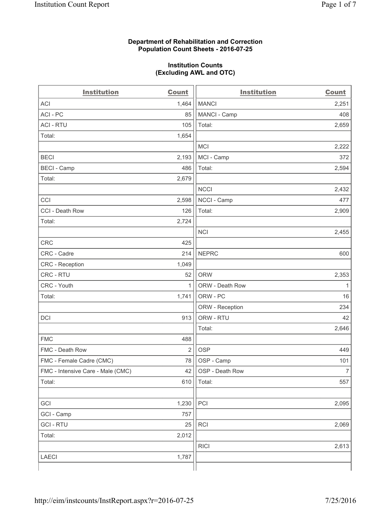#### **Department of Rehabilitation and Correction Population Count Sheets - 2016-07-25**

#### **Institution Counts (Excluding AWL and OTC)**

| <b>Institution</b>                | <b>Count</b>   | <b>Institution</b> | <b>Count</b>   |
|-----------------------------------|----------------|--------------------|----------------|
| <b>ACI</b>                        | 1,464          | <b>MANCI</b>       | 2,251          |
| ACI-PC                            | 85             | MANCI - Camp       | 408            |
| <b>ACI - RTU</b>                  | 105            | Total:             | 2,659          |
| Total:                            | 1,654          |                    |                |
|                                   |                | <b>MCI</b>         | 2,222          |
| <b>BECI</b>                       | 2,193          | MCI - Camp         | 372            |
| <b>BECI</b> - Camp                | 486            | Total:             | 2,594          |
| Total:                            | 2,679          |                    |                |
|                                   |                | <b>NCCI</b>        | 2,432          |
| CCI                               | 2,598          | NCCI - Camp        | 477            |
| CCI - Death Row                   | 126            | Total:             | 2,909          |
| Total:                            | 2,724          |                    |                |
|                                   |                | <b>NCI</b>         | 2,455          |
| <b>CRC</b>                        | 425            |                    |                |
| CRC - Cadre                       | 214            | <b>NEPRC</b>       | 600            |
| CRC - Reception                   | 1,049          |                    |                |
| CRC - RTU                         | 52             | <b>ORW</b>         | 2,353          |
| CRC - Youth                       | 1              | ORW - Death Row    | 1              |
| Total:                            | 1,741          | ORW - PC           | 16             |
|                                   |                | ORW - Reception    | 234            |
| DCI                               | 913            | ORW - RTU          | 42             |
|                                   |                | Total:             | 2,646          |
| <b>FMC</b>                        | 488            |                    |                |
| FMC - Death Row                   | $\overline{2}$ | <b>OSP</b>         | 449            |
| FMC - Female Cadre (CMC)          | 78             | OSP - Camp         | 101            |
| FMC - Intensive Care - Male (CMC) | 42             | OSP - Death Row    | $\overline{7}$ |
| Total:                            | 610            | Total:             | 557            |
|                                   |                |                    |                |
| GCI                               | 1,230          | PCI                | 2,095          |
| GCI - Camp                        | 757            |                    |                |
| <b>GCI-RTU</b>                    | 25             | RCI                | 2,069          |
| Total:                            | 2,012          |                    |                |
|                                   |                | <b>RICI</b>        | 2,613          |
| <b>LAECI</b>                      | 1,787          |                    |                |
|                                   |                |                    |                |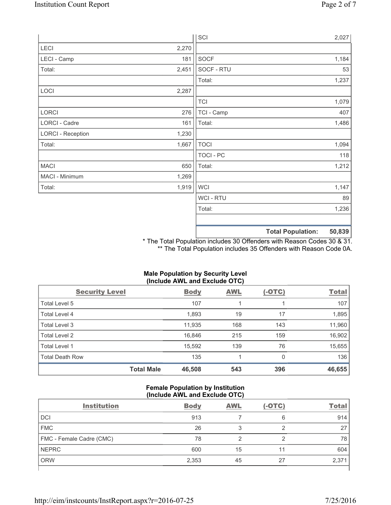|                          |       | SCI            |                          | 2,027  |
|--------------------------|-------|----------------|--------------------------|--------|
| LECI                     | 2,270 |                |                          |        |
| LECI - Camp              | 181   | SOCF           |                          | 1,184  |
| Total:                   | 2,451 | SOCF - RTU     |                          | 53     |
|                          |       | Total:         |                          | 1,237  |
| LOCI                     | 2,287 |                |                          |        |
|                          |       | <b>TCI</b>     |                          | 1,079  |
| LORCI                    | 276   | TCI - Camp     |                          | 407    |
| LORCI - Cadre            | 161   | Total:         |                          | 1,486  |
| <b>LORCI - Reception</b> | 1,230 |                |                          |        |
| Total:                   | 1,667 | <b>TOCI</b>    |                          | 1,094  |
|                          |       | TOCI - PC      |                          | 118    |
| <b>MACI</b>              | 650   | Total:         |                          | 1,212  |
| MACI - Minimum           | 1,269 |                |                          |        |
| Total:                   | 1,919 | <b>WCI</b>     |                          | 1,147  |
|                          |       | <b>WCI-RTU</b> |                          | 89     |
|                          |       | Total:         |                          | 1,236  |
|                          |       |                | <b>Total Population:</b> | 50,839 |

\* The Total Population includes 30 Offenders with Reason Codes 30 & 31. \*\* The Total Population includes 35 Offenders with Reason Code 0A.

# **Male Population by Security Level (Include AWL and Exclude OTC)**

| <b>Security Level</b>  |                   | <b>Body</b> | <b>AWL</b> | $(-OTC)$ | <b>Total</b> |
|------------------------|-------------------|-------------|------------|----------|--------------|
| Total Level 5          |                   | 107         |            |          | 107          |
| <b>Total Level 4</b>   |                   | 1,893       | 19         | 17       | 1,895        |
| Total Level 3          |                   | 11,935      | 168        | 143      | 11,960       |
| Total Level 2          |                   | 16,846      | 215        | 159      | 16,902       |
| Total Level 1          |                   | 15,592      | 139        | 76       | 15,655       |
| <b>Total Death Row</b> |                   | 135         |            | 0        | 136          |
|                        | <b>Total Male</b> | 46,508      | 543        | 396      | 46,655       |

#### **Female Population by Institution (Include AWL and Exclude OTC)**

| <b>Institution</b>       | <b>Body</b> | <b>AWL</b> | $(-OTC)$ | <b>Total</b> |
|--------------------------|-------------|------------|----------|--------------|
| <b>DCI</b>               | 913         |            | 6        | 914          |
| <b>FMC</b>               | 26          | 3          |          | 27           |
| FMC - Female Cadre (CMC) | 78          | ◠          | ◠        | 78           |
| <b>NEPRC</b>             | 600         | 15         | 11       | 604          |
| <b>ORW</b>               | 2,353       | 45         | 27       | 2,371        |
|                          |             |            |          |              |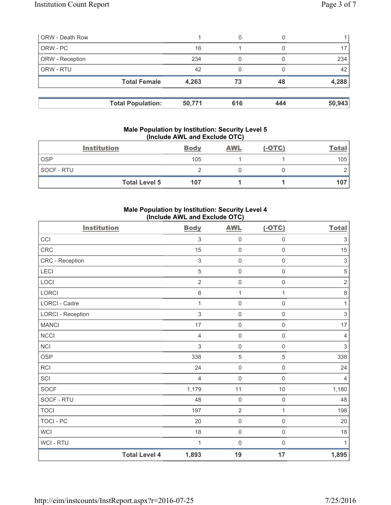| <b>ORW - Death Row</b> |                          |        | 0   |     |        |
|------------------------|--------------------------|--------|-----|-----|--------|
| ORW - PC               |                          | 16     |     |     |        |
| ORW - Reception        |                          | 234    |     |     | 234    |
| ORW - RTU              |                          | 42     |     |     | 42     |
|                        | <b>Total Female</b>      | 4,263  | 73  | 48  | 4,288  |
|                        | <b>Total Population:</b> | 50,771 | 616 | 444 | 50,943 |

#### **Male Population by Institution: Security Level 5 (Include AWL and Exclude OTC)**

|            | <b>Institution</b>   | <b>Body</b> | <b>AWL</b> | $(-OTC)$ | <b>Total</b> |
|------------|----------------------|-------------|------------|----------|--------------|
| <b>OSP</b> |                      | 105         |            |          | 105          |
| SOCF - RTU |                      |             |            |          |              |
|            | <b>Total Level 5</b> | 107         |            |          | 107          |

## **Male Population by Institution: Security Level 4 (Include AWL and Exclude OTC)**

| <b>Institution</b>       |                      | <b>Body</b>    | <b>AWL</b>          | $(-OTC)$            | <b>Total</b>              |
|--------------------------|----------------------|----------------|---------------------|---------------------|---------------------------|
| CCI                      |                      | 3              | $\mathsf{O}\xspace$ | $\mathsf{O}\xspace$ | $\ensuremath{\mathsf{3}}$ |
| <b>CRC</b>               |                      | 15             | $\mathsf{O}\xspace$ | $\mathsf{O}\xspace$ | 15                        |
| CRC - Reception          |                      | $\sqrt{3}$     | $\mathsf{O}\xspace$ | $\mathsf 0$         | $\mathfrak{S}$            |
| LECI                     |                      | 5              | $\mathsf{O}\xspace$ | $\mathsf{O}\xspace$ | $\sqrt{5}$                |
| LOCI                     |                      | 2              | $\mathsf{O}\xspace$ | $\mathsf{O}\xspace$ | $\sqrt{2}$                |
| <b>LORCI</b>             |                      | 8              | $\mathbf{1}$        | $\mathbf{1}$        | $\,8\,$                   |
| LORCI - Cadre            |                      | 1              | $\mathsf{O}\xspace$ | $\mathsf{O}\xspace$ | 1                         |
| <b>LORCI - Reception</b> |                      | 3              | $\mathsf{O}\xspace$ | $\mathsf{O}\xspace$ | $\ensuremath{\mathsf{3}}$ |
| <b>MANCI</b>             |                      | 17             | $\mathsf{O}\xspace$ | $\mathsf{O}\xspace$ | $17\,$                    |
| NCCI                     |                      | 4              | $\mathsf{O}\xspace$ | $\mathsf{O}\xspace$ | $\overline{4}$            |
| <b>NCI</b>               |                      | 3              | $\mathsf{O}\xspace$ | $\mathsf{O}\xspace$ | $\mathsf 3$               |
| <b>OSP</b>               |                      | 338            | $\sqrt{5}$          | 5                   | 338                       |
| <b>RCI</b>               |                      | 24             | $\mathsf 0$         | $\mathsf{O}\xspace$ | 24                        |
| SCI                      |                      | $\overline{4}$ | $\mathsf{O}\xspace$ | $\mathsf{O}\xspace$ | $\overline{4}$            |
| <b>SOCF</b>              |                      | 1,179          | 11                  | 10                  | 1,180                     |
| SOCF - RTU               |                      | 48             | $\mathsf{O}\xspace$ | $\mathsf 0$         | 48                        |
| <b>TOCI</b>              |                      | 197            | $\sqrt{2}$          | 1                   | 198                       |
| <b>TOCI - PC</b>         |                      | 20             | $\mathsf{O}\xspace$ | $\mathsf{O}\xspace$ | 20                        |
| <b>WCI</b>               |                      | 18             | $\mathsf 0$         | $\mathsf{O}\xspace$ | 18                        |
| WCI - RTU                |                      | 1              | $\mathsf{O}\xspace$ | $\mathsf{O}\xspace$ | 1                         |
|                          | <b>Total Level 4</b> | 1,893          | 19                  | 17                  | 1,895                     |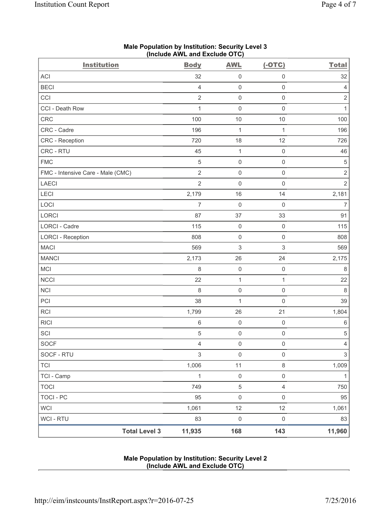| <b>Institution</b>                | <b>Body</b>    | <b>AWL</b>          | $(-OTC)$            | <b>Total</b>   |
|-----------------------------------|----------------|---------------------|---------------------|----------------|
| ACI                               | 32             | $\mathsf 0$         | $\mathsf 0$         | 32             |
| <b>BECI</b>                       | $\overline{4}$ | 0                   | $\mathsf 0$         | $\overline{4}$ |
| CCI                               | $\sqrt{2}$     | $\mathsf{O}\xspace$ | $\mathsf 0$         | $\sqrt{2}$     |
| CCI - Death Row                   | 1              | $\mathsf{O}\xspace$ | $\mathbf 0$         | $\mathbf{1}$   |
| CRC                               | 100            | 10                  | 10                  | 100            |
| CRC - Cadre                       | 196            | $\mathbf{1}$        | $\mathbf{1}$        | 196            |
| CRC - Reception                   | 720            | 18                  | 12                  | 726            |
| CRC - RTU                         | 45             | $\mathbf{1}$        | $\mathsf 0$         | 46             |
| <b>FMC</b>                        | $\,$ 5 $\,$    | 0                   | $\mathsf{O}\xspace$ | $\mathbf 5$    |
| FMC - Intensive Care - Male (CMC) | $\overline{2}$ | $\mathsf{O}\xspace$ | $\mathsf 0$         | $\mathbf 2$    |
| <b>LAECI</b>                      | $\overline{2}$ | $\mathsf{O}\xspace$ | $\mathsf 0$         | $\overline{2}$ |
| LECI                              | 2,179          | 16                  | 14                  | 2,181          |
| LOCI                              | $\overline{7}$ | $\mathsf{O}\xspace$ | $\mathsf 0$         | $\overline{7}$ |
| LORCI                             | 87             | 37                  | 33                  | 91             |
| LORCI - Cadre                     | 115            | $\mathsf 0$         | $\mathsf 0$         | 115            |
| <b>LORCI - Reception</b>          | 808            | $\mathsf 0$         | $\mathsf 0$         | 808            |
| <b>MACI</b>                       | 569            | 3                   | $\,$ 3 $\,$         | 569            |
| <b>MANCI</b>                      | 2,173          | 26                  | 24                  | 2,175          |
| <b>MCI</b>                        | 8              | $\mathsf{O}\xspace$ | $\mathbf 0$         | 8              |
| <b>NCCI</b>                       | 22             | $\mathbf{1}$        | $\mathbf{1}$        | 22             |
| <b>NCI</b>                        | 8              | $\mathsf{O}\xspace$ | $\mathsf 0$         | $\,8\,$        |
| PCI                               | 38             | $\mathbf{1}$        | $\mathsf 0$         | 39             |
| RCI                               | 1,799          | 26                  | 21                  | 1,804          |
| <b>RICI</b>                       | $6\,$          | 0                   | $\mathsf 0$         | $\,6\,$        |
| SCI                               | $\sqrt{5}$     | $\mathsf{O}\xspace$ | $\mathsf 0$         | $\,$ 5 $\,$    |
| SOCF                              | 4              | $\mathsf{O}\xspace$ | $\mathsf{O}\xspace$ | $\overline{4}$ |
| SOCF - RTU                        | $\mathsf 3$    | $\mathsf{O}\xspace$ | $\mathsf 0$         | $\mathfrak{S}$ |
| <b>TCI</b>                        | 1,006          | 11                  | $\,8\,$             | 1,009          |
| TCI - Camp                        | $\mathbf{1}$   | $\mathsf{O}\xspace$ | $\mathsf{O}\xspace$ | $\mathbf{1}$   |
| <b>TOCI</b>                       | 749            | $\,$ 5 $\,$         | $\overline{4}$      | 750            |
| <b>TOCI - PC</b>                  | 95             | $\mathsf{O}\xspace$ | $\mathsf 0$         | 95             |
| <b>WCI</b>                        | 1,061          | 12                  | 12                  | 1,061          |
| WCI - RTU                         | 83             | $\mathsf 0$         | $\mathsf{O}\xspace$ | 83             |
| <b>Total Level 3</b>              | 11,935         | 168                 | 143                 | 11,960         |

## **Male Population by Institution: Security Level 3 (Include AWL and Exclude OTC)**

# **Male Population by Institution: Security Level 2 (Include AWL and Exclude OTC)**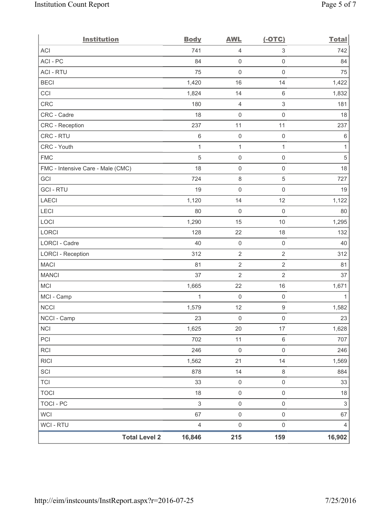| <b>Institution</b>                | <b>Body</b>               | <b>AWL</b>          | $(-OTC)$                  | <b>Total</b> |
|-----------------------------------|---------------------------|---------------------|---------------------------|--------------|
| <b>ACI</b>                        | 741                       | 4                   | $\ensuremath{\mathsf{3}}$ | 742          |
| ACI-PC                            | 84                        | $\mathsf{O}\xspace$ | $\mathsf{O}\xspace$       | 84           |
| <b>ACI - RTU</b>                  | 75                        | $\mathbf 0$         | $\mathsf 0$               | 75           |
| <b>BECI</b>                       | 1,420                     | 16                  | 14                        | 1,422        |
| CCI                               | 1,824                     | 14                  | $\,6\,$                   | 1,832        |
| <b>CRC</b>                        | 180                       | $\overline{4}$      | $\ensuremath{\mathsf{3}}$ | 181          |
| CRC - Cadre                       | 18                        | $\mathbf 0$         | $\mathbf 0$               | 18           |
| CRC - Reception                   | 237                       | 11                  | 11                        | 237          |
| CRC - RTU                         | $\,6$                     | $\mathsf{O}\xspace$ | $\mathsf 0$               | $\,6\,$      |
| CRC - Youth                       | $\mathbf{1}$              | $\mathbf{1}$        | $\mathbf{1}$              | 1            |
| <b>FMC</b>                        | $\sqrt{5}$                | $\mathsf{O}\xspace$ | $\mathsf{O}\xspace$       | $\sqrt{5}$   |
| FMC - Intensive Care - Male (CMC) | 18                        | $\mathsf{O}\xspace$ | $\mathsf{O}\xspace$       | 18           |
| GCI                               | 724                       | $\,8\,$             | $\sqrt{5}$                | 727          |
| <b>GCI-RTU</b>                    | 19                        | $\mathbf 0$         | $\mathsf{O}\xspace$       | 19           |
| <b>LAECI</b>                      | 1,120                     | 14                  | 12                        | 1,122        |
| LECI                              | 80                        | $\mathsf{O}\xspace$ | $\mathsf 0$               | 80           |
| LOCI                              | 1,290                     | 15                  | 10                        | 1,295        |
| LORCI                             | 128                       | 22                  | 18                        | 132          |
| LORCI - Cadre                     | 40                        | $\mathsf{O}\xspace$ | $\mathsf 0$               | 40           |
| <b>LORCI - Reception</b>          | 312                       | $\sqrt{2}$          | $\sqrt{2}$                | 312          |
| <b>MACI</b>                       | 81                        | $\sqrt{2}$          | $\sqrt{2}$                | 81           |
| <b>MANCI</b>                      | 37                        | $\overline{2}$      | $\overline{2}$            | 37           |
| MCI                               | 1,665                     | 22                  | 16                        | 1,671        |
| MCI - Camp                        | $\mathbf{1}$              | $\mathsf 0$         | $\mathsf 0$               | 1            |
| <b>NCCI</b>                       | 1,579                     | 12                  | $\hbox{9}$                | 1,582        |
| NCCI - Camp                       | 23                        | $\mathsf{O}\xspace$ | $\mathsf{O}\xspace$       | 23           |
| <b>NCI</b>                        | 1,625                     | 20                  | 17                        | 1,628        |
| PCI                               | 702                       | 11                  | $\,6\,$                   | 707          |
| <b>RCI</b>                        | 246                       | $\mathsf{O}\xspace$ | $\mathsf 0$               | 246          |
| <b>RICI</b>                       | 1,562                     | 21                  | 14                        | 1,569        |
| SCI                               | 878                       | 14                  | $\,8\,$                   | 884          |
| <b>TCI</b>                        | 33                        | $\mathsf{O}\xspace$ | $\mathsf{O}\xspace$       | 33           |
| <b>TOCI</b>                       | 18                        | $\mathsf{O}\xspace$ | $\mathsf{O}\xspace$       | 18           |
| <b>TOCI - PC</b>                  | $\ensuremath{\mathsf{3}}$ | $\mathsf{O}\xspace$ | $\mathsf{O}\xspace$       | $\sqrt{3}$   |
| WCI                               | 67                        | $\mathsf{O}\xspace$ | $\mathsf{O}\xspace$       | 67           |
| WCI - RTU                         | $\overline{4}$            | $\mathbf 0$         | $\mathsf 0$               | 4            |
| <b>Total Level 2</b>              | 16,846                    | 215                 | 159                       | 16,902       |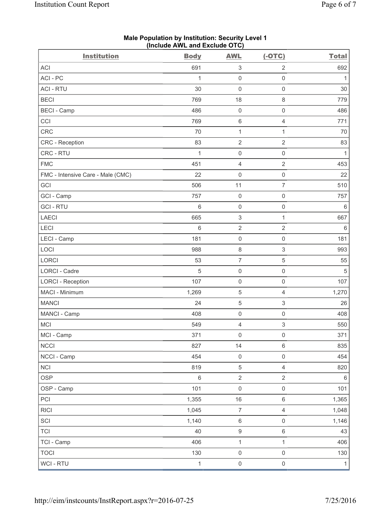| $($ molution $\overline{C}$ and $\overline{C}$ actual $\overline{C}$ is $\overline{C}$ |              |                           |                           |              |
|----------------------------------------------------------------------------------------|--------------|---------------------------|---------------------------|--------------|
| <b>Institution</b>                                                                     | <b>Body</b>  | <b>AWL</b>                | $(-OTC)$                  | <b>Total</b> |
| <b>ACI</b>                                                                             | 691          | $\ensuremath{\mathsf{3}}$ | $\overline{2}$            | 692          |
| ACI - PC                                                                               | 1            | $\mathsf 0$               | $\mathsf 0$               | 1            |
| <b>ACI - RTU</b>                                                                       | 30           | $\mathbf 0$               | $\mathsf 0$               | 30           |
| <b>BECI</b>                                                                            | 769          | 18                        | $\,8\,$                   | 779          |
| <b>BECI - Camp</b>                                                                     | 486          | $\mathsf{O}\xspace$       | $\mathsf{O}\xspace$       | 486          |
| CCI                                                                                    | 769          | 6                         | $\overline{4}$            | 771          |
| CRC                                                                                    | 70           | $\mathbf 1$               | 1                         | 70           |
| CRC - Reception                                                                        | 83           | $\mathbf 2$               | $\sqrt{2}$                | 83           |
| CRC - RTU                                                                              | $\mathbf{1}$ | $\mathsf{O}\xspace$       | $\mathsf 0$               | $\mathbf{1}$ |
| <b>FMC</b>                                                                             | 451          | 4                         | $\overline{2}$            | 453          |
| FMC - Intensive Care - Male (CMC)                                                      | 22           | $\mathsf{O}\xspace$       | $\mathsf 0$               | 22           |
| GCI                                                                                    | 506          | 11                        | $\overline{7}$            | 510          |
| GCI - Camp                                                                             | 757          | $\mathsf{O}\xspace$       | $\mathbf 0$               | 757          |
| <b>GCI - RTU</b>                                                                       | $6\,$        | $\mathsf{O}\xspace$       | $\mathsf{O}\xspace$       | $\,6\,$      |
| LAECI                                                                                  | 665          | 3                         | 1                         | 667          |
| LECI                                                                                   | $6\,$        | $\mathbf 2$               | $\sqrt{2}$                | $6\,$        |
| LECI - Camp                                                                            | 181          | $\mathsf 0$               | $\mathbf 0$               | 181          |
| LOCI                                                                                   | 988          | $\,8\,$                   | $\ensuremath{\mathsf{3}}$ | 993          |
| LORCI                                                                                  | 53           | $\overline{7}$            | $\sqrt{5}$                | 55           |
| LORCI - Cadre                                                                          | 5            | $\mathsf{O}\xspace$       | $\mathsf 0$               | 5            |
| <b>LORCI - Reception</b>                                                               | 107          | $\mathsf{O}\xspace$       | $\mathsf 0$               | 107          |
| MACI - Minimum                                                                         | 1,269        | 5                         | $\overline{4}$            | 1,270        |
| <b>MANCI</b>                                                                           | 24           | 5                         | $\ensuremath{\mathsf{3}}$ | 26           |
| MANCI - Camp                                                                           | 408          | $\mathsf 0$               | $\mathsf{O}\xspace$       | 408          |
| <b>MCI</b>                                                                             | 549          | 4                         | $\mathsf 3$               | 550          |
| MCI - Camp                                                                             | 371          | $\mathsf{O}\xspace$       | $\mathsf{O}\xspace$       | 371          |
| <b>NCCI</b>                                                                            | 827          | 14                        | $\,6\,$                   | 835          |
| NCCI - Camp                                                                            | 454          | $\mathsf{O}\xspace$       | $\mathsf{O}\xspace$       | 454          |
| <b>NCI</b>                                                                             | 819          | $\,$ 5 $\,$               | $\overline{4}$            | 820          |
| <b>OSP</b>                                                                             | $\,6\,$      | $\overline{2}$            | $\sqrt{2}$                | $\,6\,$      |
| OSP - Camp                                                                             | 101          | $\mathsf{O}\xspace$       | $\mathsf{O}\xspace$       | 101          |
| PCI                                                                                    | 1,355        | 16                        | $\,6\,$                   | 1,365        |
| <b>RICI</b>                                                                            | 1,045        | $\boldsymbol{7}$          | $\overline{4}$            | 1,048        |
| SCI                                                                                    | 1,140        | $\,6$                     | $\mathsf 0$               | 1,146        |
| <b>TCI</b>                                                                             | 40           | $\hbox{9}$                | $\,6\,$                   | 43           |
| TCI - Camp                                                                             | 406          | $\mathbf{1}$              | $\mathbf{1}$              | 406          |
| <b>TOCI</b>                                                                            | 130          | $\mathsf{O}\xspace$       | $\mathsf{O}\xspace$       | 130          |
| WCI - RTU                                                                              | $\mathbf{1}$ | $\mathsf{O}\xspace$       | $\mathsf{O}\xspace$       | $\mathbf{1}$ |

**Male Population by Institution: Security Level 1 (Include AWL and Exclude OTC)**